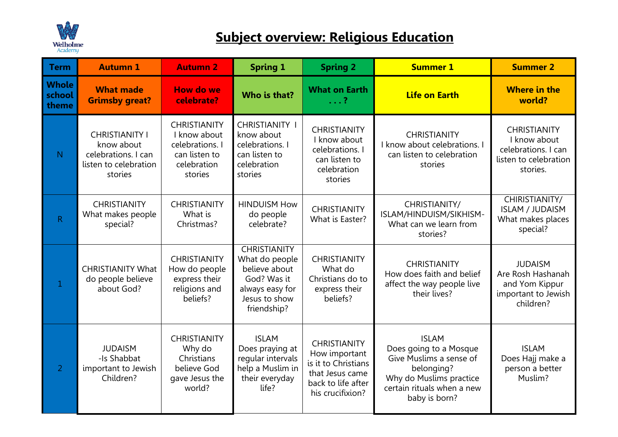

## **Subject overview: Religious Education**

| <b>Term</b>                     | <b>Autumn 1</b>                                                                                | <b>Autumn 2</b>                                                                                   | <b>Spring 1</b>                                                                                                          | <b>Spring 2</b>                                                                                                          | <b>Summer 1</b>                                                                                                                                           | <b>Summer 2</b>                                                                                 |
|---------------------------------|------------------------------------------------------------------------------------------------|---------------------------------------------------------------------------------------------------|--------------------------------------------------------------------------------------------------------------------------|--------------------------------------------------------------------------------------------------------------------------|-----------------------------------------------------------------------------------------------------------------------------------------------------------|-------------------------------------------------------------------------------------------------|
| <b>Whole</b><br>school<br>theme | <b>What made</b><br><b>Grimsby great?</b>                                                      | <b>How do we</b><br>celebrate?                                                                    | Who is that?                                                                                                             | <b>What on Earth</b><br>$\ldots$ ?                                                                                       | <b>Life on Earth</b>                                                                                                                                      | <b>Where in the</b><br>world?                                                                   |
| $\mathsf{N}$                    | <b>CHRISTIANITY I</b><br>know about<br>celebrations. I can<br>listen to celebration<br>stories | <b>CHRISTIANITY</b><br>I know about<br>celebrations. I<br>can listen to<br>celebration<br>stories | <b>CHRISTIANITY</b><br>know about<br>celebrations. I<br>can listen to<br>celebration<br>stories                          | <b>CHRISTIANITY</b><br>I know about<br>celebrations. I<br>can listen to<br>celebration<br>stories                        | <b>CHRISTIANITY</b><br>I know about celebrations. I<br>can listen to celebration<br>stories                                                               | <b>CHRISTIANITY</b><br>I know about<br>celebrations. I can<br>listen to celebration<br>stories. |
| $\mathsf{R}$                    | <b>CHRISTIANITY</b><br>What makes people<br>special?                                           | <b>CHRISTIANITY</b><br>What is<br>Christmas?                                                      | <b>HINDUISM How</b><br>do people<br>celebrate?                                                                           | <b>CHRISTIANITY</b><br>What is Easter?                                                                                   | CHRISTIANITY/<br>ISLAM/HINDUISM/SIKHISM-<br>What can we learn from<br>stories?                                                                            | CHIRISTIANITY/<br><b>ISLAM / JUDAISM</b><br>What makes places<br>special?                       |
| $\mathbf{1}$                    | <b>CHRISTIANITY What</b><br>do people believe<br>about God?                                    | <b>CHRISTIANITY</b><br>How do people<br>express their<br>religions and<br>beliefs?                | <b>CHRISTIANITY</b><br>What do people<br>believe about<br>God? Was it<br>always easy for<br>Jesus to show<br>friendship? | <b>CHRISTIANITY</b><br>What do<br>Christians do to<br>express their<br>beliefs?                                          | <b>CHRISTIANITY</b><br>How does faith and belief<br>affect the way people live<br>their lives?                                                            | <b>JUDAISM</b><br>Are Rosh Hashanah<br>and Yom Kippur<br>important to Jewish<br>children?       |
| $\overline{2}$                  | <b>JUDAISM</b><br>-Is Shabbat<br>important to Jewish<br>Children?                              | <b>CHRISTIANITY</b><br>Why do<br>Christians<br>believe God<br>gave Jesus the<br>world?            | <b>ISLAM</b><br>Does praying at<br>regular intervals<br>help a Muslim in<br>their everyday<br>life?                      | <b>CHRISTIANITY</b><br>How important<br>is it to Christians<br>that Jesus came<br>back to life after<br>his crucifixion? | <b>ISLAM</b><br>Does going to a Mosque<br>Give Muslims a sense of<br>belonging?<br>Why do Muslims practice<br>certain rituals when a new<br>baby is born? | <b>ISLAM</b><br>Does Hajj make a<br>person a better<br>Muslim?                                  |